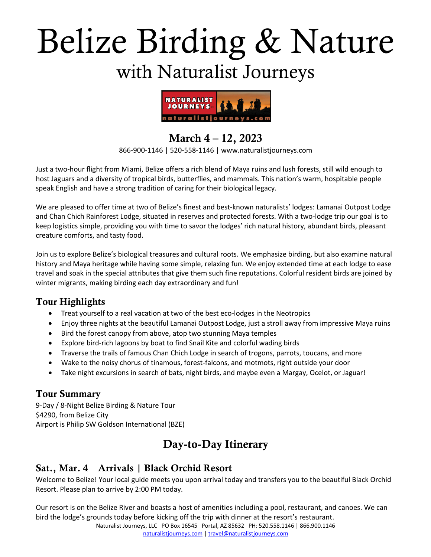# Belize Birding & Nature with Naturalist Journeys



# March 4 – 12, 2023

866-900-1146 | 520-558-1146 | www.naturalistjourneys.com

Just a two-hour flight from Miami, Belize offers a rich blend of Maya ruins and lush forests, still wild enough to host Jaguars and a diversity of tropical birds, butterflies, and mammals. This nation's warm, hospitable people speak English and have a strong tradition of caring for their biological legacy.

We are pleased to offer time at two of Belize's finest and best-known naturalists' lodges: Lamanai Outpost Lodge and Chan Chich Rainforest Lodge, situated in reserves and protected forests. With a two-lodge trip our goal is to keep logistics simple, providing you with time to savor the lodges' rich natural history, abundant birds, pleasant creature comforts, and tasty food.

Join us to explore Belize's biological treasures and cultural roots. We emphasize birding, but also examine natural history and Maya heritage while having some simple, relaxing fun. We enjoy extended time at each lodge to ease travel and soak in the special attributes that give them such fine reputations. Colorful resident birds are joined by winter migrants, making birding each day extraordinary and fun!

#### Tour Highlights

- Treat yourself to a real vacation at two of the best eco-lodges in the Neotropics
- Enjoy three nights at the beautiful Lamanai Outpost Lodge, just a stroll away from impressive Maya ruins
- Bird the forest canopy from above, atop two stunning Maya temples
- Explore bird-rich lagoons by boat to find Snail Kite and colorful wading birds
- Traverse the trails of famous Chan Chich Lodge in search of trogons, parrots, toucans, and more
- Wake to the noisy chorus of tinamous, forest-falcons, and motmots, right outside your door
- Take night excursions in search of bats, night birds, and maybe even a Margay, Ocelot, or Jaguar!

# Tour Summary

9-Day / 8-Night Belize Birding & Nature Tour \$4290, from Belize City Airport is Philip SW Goldson International (BZE)

# Day-to-Day Itinerary

# Sat., Mar. 4 Arrivals | Black Orchid Resort

Welcome to Belize! Your local guide meets you upon arrival today and transfers you to the beautiful Black Orchid Resort. Please plan to arrive by 2:00 PM today.

Our resort is on the Belize River and boasts a host of amenities including a pool, restaurant, and canoes. We can bird the lodge's grounds today before kicking off the trip with dinner at the resort's restaurant.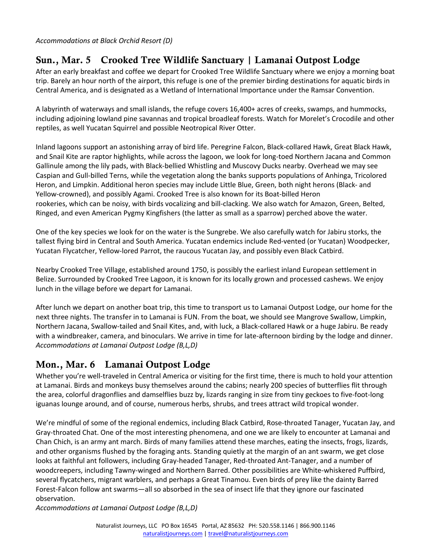*Accommodations at Black Orchid Resort (D)*

## Sun., Mar. 5 Crooked Tree Wildlife Sanctuary | Lamanai Outpost Lodge

After an early breakfast and coffee we depart for Crooked Tree Wildlife Sanctuary where we enjoy a morning boat trip. Barely an hour north of the airport, this refuge is one of the premier birding destinations for aquatic birds in Central America, and is designated as a Wetland of International Importance under the Ramsar Convention.

A labyrinth of waterways and small islands, the refuge covers 16,400+ acres of creeks, swamps, and hummocks, including adjoining lowland pine savannas and tropical broadleaf forests. Watch for Morelet's Crocodile and other reptiles, as well Yucatan Squirrel and possible Neotropical River Otter.

Inland lagoons support an astonishing array of bird life. Peregrine Falcon, Black-collared Hawk, Great Black Hawk, and Snail Kite are raptor highlights, while across the lagoon, we look for long-toed Northern Jacana and Common Gallinule among the lily pads, with Black-bellied Whistling and Muscovy Ducks nearby. Overhead we may see Caspian and Gull-billed Terns, while the vegetation along the banks supports populations of Anhinga, Tricolored Heron, and Limpkin. Additional heron species may include Little Blue, Green, both night herons (Black- and Yellow-crowned), and possibly Agami. Crooked Tree is also known for its Boat-billed Heron rookeries, which can be noisy, with birds vocalizing and bill-clacking. We also watch for Amazon, Green, Belted, Ringed, and even American Pygmy Kingfishers (the latter as small as a sparrow) perched above the water.

One of the key species we look for on the water is the Sungrebe. We also carefully watch for Jabiru storks, the tallest flying bird in Central and South America. Yucatan endemics include Red-vented (or Yucatan) Woodpecker, Yucatan Flycatcher, Yellow-lored Parrot, the raucous Yucatan Jay, and possibly even Black Catbird.

Nearby Crooked Tree Village, established around 1750, is possibly the earliest inland European settlement in Belize. Surrounded by Crooked Tree Lagoon, it is known for its locally grown and processed cashews. We enjoy lunch in the village before we depart for Lamanai.

After lunch we depart on another boat trip, this time to transport us to Lamanai Outpost Lodge, our home for the next three nights. The transfer in to Lamanai is FUN. From the boat, we should see Mangrove Swallow, Limpkin, Northern Jacana, Swallow-tailed and Snail Kites, and, with luck, a Black-collared Hawk or a huge Jabiru. Be ready with a windbreaker, camera, and binoculars. We arrive in time for late-afternoon birding by the lodge and dinner. *Accommodations at Lamanai Outpost Lodge (B,L,D)*

# Mon., Mar. 6 Lamanai Outpost Lodge

Whether you're well-traveled in Central America or visiting for the first time, there is much to hold your attention at Lamanai. Birds and monkeys busy themselves around the cabins; nearly 200 species of butterflies flit through the area, colorful dragonflies and damselflies buzz by, lizards ranging in size from tiny geckoes to five-foot-long iguanas lounge around, and of course, numerous herbs, shrubs, and trees attract wild tropical wonder.

We're mindful of some of the regional endemics, including Black Catbird, Rose-throated Tanager, Yucatan Jay, and Gray-throated Chat. One of the most interesting phenomena, and one we are likely to encounter at Lamanai and Chan Chich, is an army ant march. Birds of many families attend these marches, eating the insects, frogs, lizards, and other organisms flushed by the foraging ants. Standing quietly at the margin of an ant swarm, we get close looks at faithful ant followers, including Gray-headed Tanager, Red-throated Ant-Tanager, and a number of woodcreepers, including Tawny-winged and Northern Barred. Other possibilities are White-whiskered Puffbird, several flycatchers, migrant warblers, and perhaps a Great Tinamou. Even birds of prey like the dainty Barred Forest-Falcon follow ant swarms―all so absorbed in the sea of insect life that they ignore our fascinated observation.

*Accommodations at Lamanai Outpost Lodge (B,L,D)*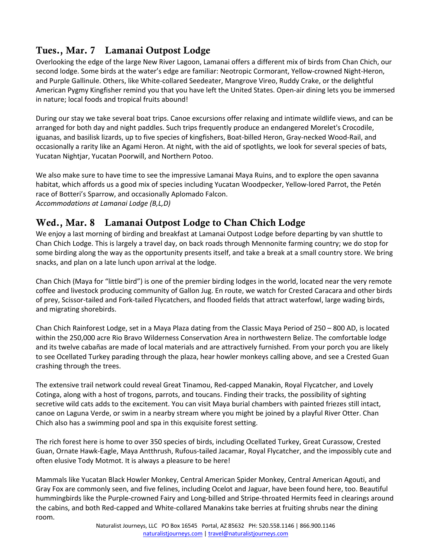# Tues., Mar. 7 Lamanai Outpost Lodge

Overlooking the edge of the large New River Lagoon, Lamanai offers a different mix of birds from Chan Chich, our second lodge. Some birds at the water's edge are familiar: Neotropic Cormorant, Yellow-crowned Night-Heron, and Purple Gallinule. Others, like White-collared Seedeater, Mangrove Vireo, Ruddy Crake, or the delightful American Pygmy Kingfisher remind you that you have left the United States. Open-air dining lets you be immersed in nature; local foods and tropical fruits abound!

During our stay we take several boat trips. Canoe excursions offer relaxing and intimate wildlife views, and can be arranged for both day and night paddles. Such trips frequently produce an endangered Morelet's Crocodile, iguanas, and basilisk lizards, up to five species of kingfishers, Boat-billed Heron, Gray-necked Wood-Rail, and occasionally a rarity like an Agami Heron. At night, with the aid of spotlights, we look for several species of bats, Yucatan Nightjar, Yucatan Poorwill, and Northern Potoo.

We also make sure to have time to see the impressive Lamanai Maya Ruins, and to explore the open savanna habitat, which affords us a good mix of species including Yucatan Woodpecker, Yellow-lored Parrot, the Petén race of Botteri's Sparrow, and occasionally Aplomado Falcon. *Accommodations at Lamanai Lodge (B,L,D)*

## Wed., Mar. 8 Lamanai Outpost Lodge to Chan Chich Lodge

We enjoy a last morning of birding and breakfast at Lamanai Outpost Lodge before departing by van shuttle to Chan Chich Lodge. This is largely a travel day, on back roads through Mennonite farming country; we do stop for some birding along the way as the opportunity presents itself, and take a break at a small country store. We bring snacks, and plan on a late lunch upon arrival at the lodge.

Chan Chich (Maya for "little bird") is one of the premier birding lodges in the world, located near the very remote coffee and livestock producing community of Gallon Jug. En route, we watch for Crested Caracara and other birds of prey, Scissor-tailed and Fork-tailed Flycatchers, and flooded fields that attract waterfowl, large wading birds, and migrating shorebirds.

Chan Chich Rainforest Lodge, set in a Maya Plaza dating from the Classic Maya Period of 250 – 800 AD, is located within the 250,000 acre Rio Bravo Wilderness Conservation Area in northwestern Belize. The comfortable lodge and its twelve cabañas are made of local materials and are attractively furnished. From your porch you are likely to see Ocellated Turkey parading through the plaza, hear howler monkeys calling above, and see a Crested Guan crashing through the trees.

The extensive trail network could reveal Great Tinamou, Red-capped Manakin, Royal Flycatcher, and Lovely Cotinga, along with a host of trogons, parrots, and toucans. Finding their tracks, the possibility of sighting secretive wild cats adds to the excitement. You can visit Maya burial chambers with painted friezes still intact, canoe on Laguna Verde, or swim in a nearby stream where you might be joined by a playful River Otter. Chan Chich also has a swimming pool and spa in this exquisite forest setting.

The rich forest here is home to over 350 species of birds, including Ocellated Turkey, Great Curassow, Crested Guan, Ornate Hawk-Eagle, Maya Antthrush, Rufous-tailed Jacamar, Royal Flycatcher, and the impossibly cute and often elusive Tody Motmot. It is always a pleasure to be here!

Mammals like Yucatan Black Howler Monkey, Central American Spider Monkey, Central American Agouti, and Gray Fox are commonly seen, and five felines, including Ocelot and Jaguar, have been found here, too. Beautiful hummingbirds like the Purple-crowned Fairy and Long-billed and Stripe-throated Hermits feed in clearings around the cabins, and both Red-capped and White-collared Manakins take berries at fruiting shrubs near the dining room.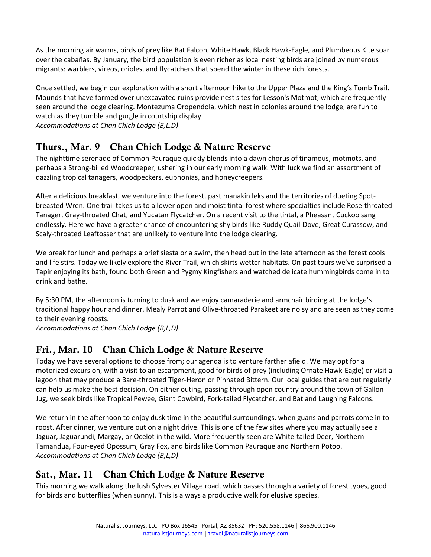As the morning air warms, birds of prey like Bat Falcon, White Hawk, Black Hawk-Eagle, and Plumbeous Kite soar over the cabañas. By January, the bird population is even richer as local nesting birds are joined by numerous migrants: warblers, vireos, orioles, and flycatchers that spend the winter in these rich forests.

Once settled, we begin our exploration with a short afternoon hike to the Upper Plaza and the King's Tomb Trail. Mounds that have formed over unexcavated ruins provide nest sites for Lesson's Motmot, which are frequently seen around the lodge clearing. Montezuma Oropendola, which nest in colonies around the lodge, are fun to watch as they tumble and gurgle in courtship display. *Accommodations at Chan Chich Lodge (B,L,D)*

## Thurs., Mar. 9 Chan Chich Lodge & Nature Reserve

The nighttime serenade of Common Pauraque quickly blends into a dawn chorus of tinamous, motmots, and perhaps a Strong-billed Woodcreeper, ushering in our early morning walk. With luck we find an assortment of dazzling tropical tanagers, woodpeckers, euphonias, and honeycreepers.

After a delicious breakfast, we venture into the forest, past manakin leks and the territories of dueting Spotbreasted Wren. One trail takes us to a lower open and moist tintal forest where specialties include Rose-throated Tanager, Gray-throated Chat, and Yucatan Flycatcher. On a recent visit to the tintal, a Pheasant Cuckoo sang endlessly. Here we have a greater chance of encountering shy birds like Ruddy Quail-Dove, Great Curassow, and Scaly-throated Leaftosser that are unlikely to venture into the lodge clearing.

We break for lunch and perhaps a brief siesta or a swim, then head out in the late afternoon as the forest cools and life stirs. Today we likely explore the River Trail, which skirts wetter habitats. On past tours we've surprised a Tapir enjoying its bath, found both Green and Pygmy Kingfishers and watched delicate hummingbirds come in to drink and bathe.

By 5:30 PM, the afternoon is turning to dusk and we enjoy camaraderie and armchair birding at the lodge's traditional happy hour and dinner. Mealy Parrot and Olive-throated Parakeet are noisy and are seen as they come to their evening roosts.

*Accommodations at Chan Chich Lodge (B,L,D)*

# Fri., Mar. 10 Chan Chich Lodge & Nature Reserve

Today we have several options to choose from; our agenda is to venture farther afield. We may opt for a motorized excursion, with a visit to an escarpment, good for birds of prey (including Ornate Hawk-Eagle) or visit a lagoon that may produce a Bare-throated Tiger-Heron or Pinnated Bittern. Our local guides that are out regularly can help us make the best decision. On either outing, passing through open country around the town of Gallon Jug, we seek birds like Tropical Pewee, Giant Cowbird, Fork-tailed Flycatcher, and Bat and Laughing Falcons.

We return in the afternoon to enjoy dusk time in the beautiful surroundings, when guans and parrots come in to roost. After dinner, we venture out on a night drive. This is one of the few sites where you may actually see a Jaguar, Jaguarundi, Margay, or Ocelot in the wild. More frequently seen are White-tailed Deer, Northern Tamandua, Four-eyed Opossum, Gray Fox, and birds like Common Pauraque and Northern Potoo. *Accommodations at Chan Chich Lodge (B,L,D)*

# Sat., Mar. 11 Chan Chich Lodge & Nature Reserve

This morning we walk along the lush Sylvester Village road, which passes through a variety of forest types, good for birds and butterflies (when sunny). This is always a productive walk for elusive species.